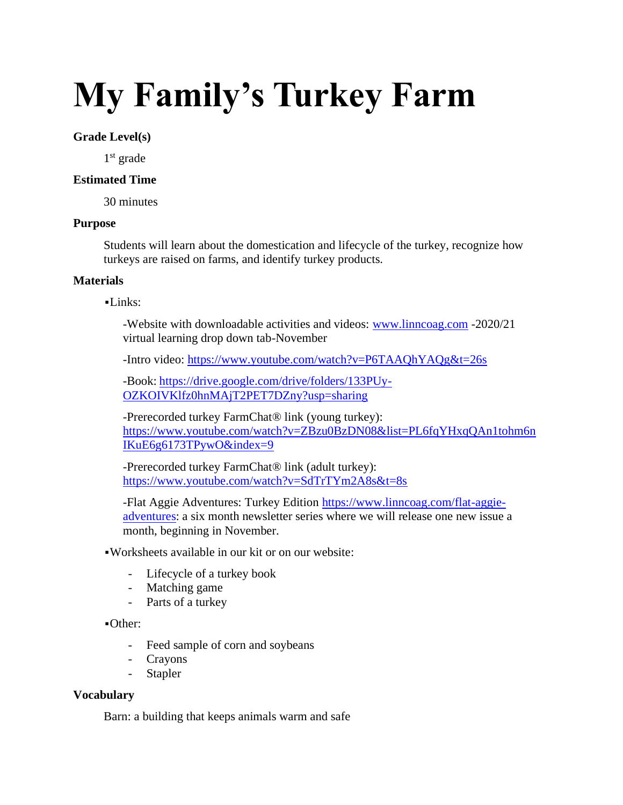# **My Family's Turkey Farm**

# **Grade Level(s)**

1 st grade

#### **Estimated Time**

30 minutes

### **Purpose**

Students will learn about the domestication and lifecycle of the turkey, recognize how turkeys are raised on farms, and identify turkey products.

#### **Materials**

 $-Links:$ 

-Website with downloadable activities and videos: [www.linncoag.com](http://www.linncoag.com/) -2020/21 virtual learning drop down tab-November

-Intro video:<https://www.youtube.com/watch?v=P6TAAQhYAQg&t=26s>

-Book: [https://drive.google.com/drive/folders/133PUy-](https://drive.google.com/drive/folders/133PUy-OZKOIVKlfz0hnMAjT2PET7DZny?usp=sharing)[OZKOIVKlfz0hnMAjT2PET7DZny?usp=sharing](https://drive.google.com/drive/folders/133PUy-OZKOIVKlfz0hnMAjT2PET7DZny?usp=sharing)

-Prerecorded turkey FarmChat® link (young turkey): [https://www.youtube.com/watch?v=ZBzu0BzDN08&list=PL6fqYHxqQAn1tohm6n](https://www.youtube.com/watch?v=ZBzu0BzDN08&list=PL6fqYHxqQAn1tohm6nIKuE6g6173TPywO&index=9) [IKuE6g6173TPywO&index=9](https://www.youtube.com/watch?v=ZBzu0BzDN08&list=PL6fqYHxqQAn1tohm6nIKuE6g6173TPywO&index=9)

-Prerecorded turkey FarmChat® link (adult turkey): <https://www.youtube.com/watch?v=SdTrTYm2A8s&t=8s>

-Flat Aggie Adventures: Turkey Edition [https://www.linncoag.com/flat-aggie](https://www.linncoag.com/flat-aggie-adventures)[adventures:](https://www.linncoag.com/flat-aggie-adventures) a six month newsletter series where we will release one new issue a month, beginning in November.

▪Worksheets available in our kit or on our website:

- Lifecycle of a turkey book
- Matching game
- Parts of a turkey

▪Other:

- Feed sample of corn and soybeans
- Crayons
- Stapler

#### **Vocabulary**

Barn: a building that keeps animals warm and safe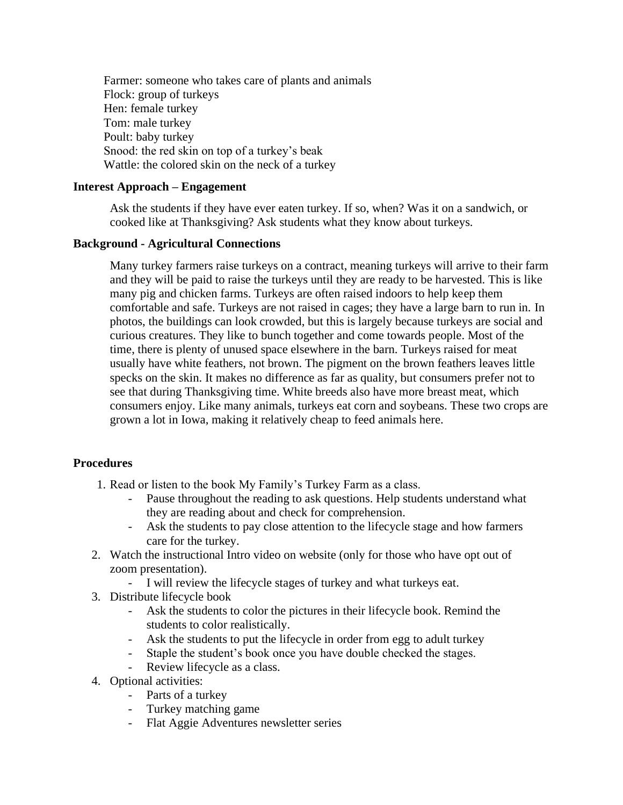Farmer: someone who takes care of plants and animals Flock: group of turkeys Hen: female turkey Tom: male turkey Poult: baby turkey Snood: the red skin on top of a turkey's beak Wattle: the colored skin on the neck of a turkey

## **Interest Approach – Engagement**

Ask the students if they have ever eaten turkey. If so, when? Was it on a sandwich, or cooked like at Thanksgiving? Ask students what they know about turkeys.

# **Background - Agricultural Connections**

Many turkey farmers raise turkeys on a contract, meaning turkeys will arrive to their farm and they will be paid to raise the turkeys until they are ready to be harvested. This is like many pig and chicken farms. Turkeys are often raised indoors to help keep them comfortable and safe. Turkeys are not raised in cages; they have a large barn to run in. In photos, the buildings can look crowded, but this is largely because turkeys are social and curious creatures. They like to bunch together and come towards people. Most of the time, there is plenty of unused space elsewhere in the barn. Turkeys raised for meat usually have white feathers, not brown. The pigment on the brown feathers leaves little specks on the skin. It makes no difference as far as quality, but consumers prefer not to see that during Thanksgiving time. White breeds also have more breast meat, which consumers enjoy. Like many animals, turkeys eat corn and soybeans. These two crops are grown a lot in Iowa, making it relatively cheap to feed animals here.

# **Procedures**

- 1. Read or listen to the book My Family's Turkey Farm as a class.
	- Pause throughout the reading to ask questions. Help students understand what they are reading about and check for comprehension.
	- Ask the students to pay close attention to the lifecycle stage and how farmers care for the turkey.
- 2. Watch the instructional Intro video on website (only for those who have opt out of zoom presentation).
	- I will review the lifecycle stages of turkey and what turkeys eat.
- 3. Distribute lifecycle book
	- Ask the students to color the pictures in their lifecycle book. Remind the students to color realistically.
	- Ask the students to put the lifecycle in order from egg to adult turkey
	- Staple the student's book once you have double checked the stages.
	- Review lifecycle as a class.
- 4. Optional activities:
	- Parts of a turkey
	- Turkey matching game
	- Flat Aggie Adventures newsletter series